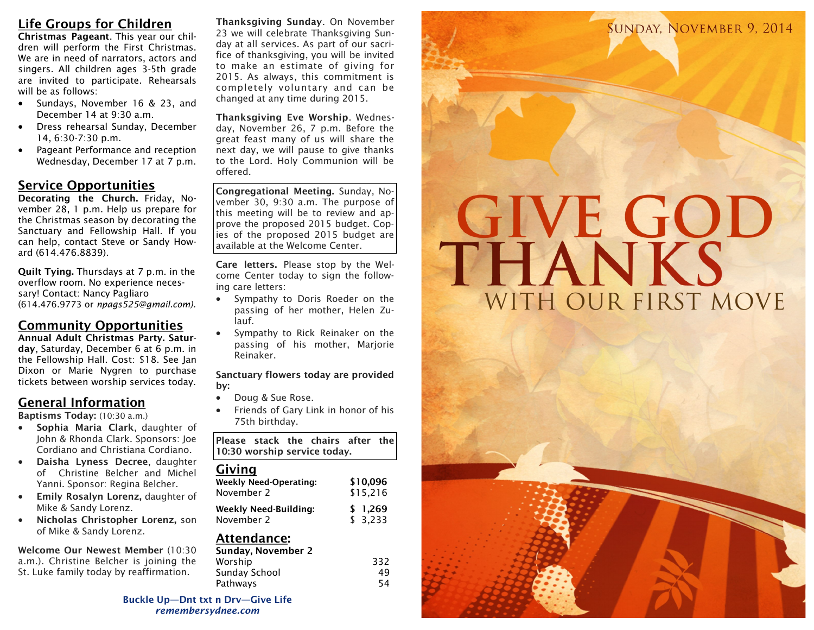## **Life Groups for Children**

**Christmas Pageant**. This year our children will perform the First Christmas. We are in need of narrators, actors and singers. All children ages 3-5th grade are invited to participate. Rehearsals will be as follows:

- Sundays, November 16 & 23, and December 14 at 9:30 a.m.
- Dress rehearsal Sunday, December 14, 6:30-7:30 p.m.
- Pageant Performance and reception Wednesday, December 17 at 7 p.m.

#### **Service Opportunities**

**Decorating the Church.** Friday, November 28, 1 p.m. Help us prepare for the Christmas season by decorating the Sanctuary and Fellowship Hall. If you can help, contact Steve or Sandy Howard (614.476.8839).

**Quilt Tying.** Thursdays at 7 p.m. in the overflow room. No experience necessary! Contact: Nancy Pagliaro (614.476.9773 or *npags525@gmail.com).* 

#### **Community Opportunities**

**Annual Adult Christmas Party. Saturday**, Saturday, December 6 at 6 p.m. in the Fellowship Hall. Cost: \$18. See Jan Dixon or Marie Nygren to purchase tickets between worship services today.

### **General Information**

**Baptisms Today:** (10:30 a.m.)

- **Sophia Maria Clark**, daughter of John & Rhonda Clark. Sponsors: Joe Cordiano and Christiana Cordiano.
- **Daisha Lyness Decree**, daughter of Christine Belcher and Michel Yanni. Sponsor: Regina Belcher.
- **Emily Rosalyn Lorenz,** daughter of Mike & Sandy Lorenz.
- **Nicholas Christopher Lorenz,** son of Mike & Sandy Lorenz.

**Welcome Our Newest Member** (10:30 a.m.). Christine Belcher is joining the St. Luke family today by reaffirmation.

**Thanksgiving Sunday**. On November 23 we will celebrate Thanksgiving Sunday at all services. As part of our sacrifice of thanksgiving, you will be invited to make an estimate of giving for 2015. As always, this commitment is completely voluntary and can be changed at any time during 2015.

**Thanksgiving Eve Worship**. Wednesday, November 26, 7 p.m. Before the great feast many of us will share the next day, we will pause to give thanks to the Lord. Holy Communion will be offered.

**Congregational Meeting.** Sunday, November 30, 9:30 a.m. The purpose of this meeting will be to review and approve the proposed 2015 budget. Copies of the proposed 2015 budget are available at the Welcome Center.

**Care letters.** Please stop by the Welcome Center today to sign the following care letters:

- Sympathy to Doris Roeder on the passing of her mother, Helen Zulauf.
- Sympathy to Rick Reinaker on the passing of his mother, Marjorie Reinaker.

**Sanctuary flowers today are provided by:** 

- Doug & Sue Rose.
- Friends of Gary Link in honor of his 75th birthday.

**Please stack the chairs after the 10:30 worship service today.**

#### **Giving**

| <b>Weekly Need-Operating:</b> | \$10.096 |
|-------------------------------|----------|
| November 2                    | \$15.216 |
| <b>Weekly Need-Building:</b>  | \$1.269  |
| November 2                    | \$3,233  |

# **Attendance:**

| 332 |
|-----|
| 49  |
| 54  |
|     |

**Buckle Up—Dnt txt n Drv—Give Life** *remembersydnee.com*



**SUNDAY, NOVEMBER 9, 2014**